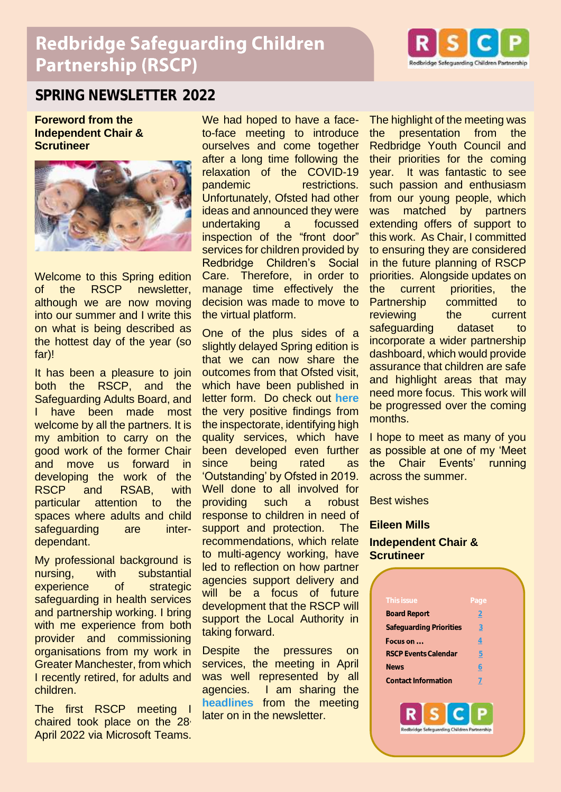# **Redbridge Safeguarding Children Partnership (RSCP)**



### **SPRING NEWSLETTER 2022**

**Foreword from the Independent Chair & Scrutineer**



Welcome to this Spring edition of the RSCP newsletter, although we are now moving into our summer and I write this on what is being described as the hottest day of the year (so far)!

It has been a pleasure to join both the RSCP, and the Safeguarding Adults Board, and have been made most welcome by all the partners. It is my ambition to carry on the good work of the former Chair and move us forward in developing the work of the RSCP and RSAB, with particular attention to the spaces where adults and child safeguarding are interdependant.

My professional background is nursing, with substantial experience of strategic safeguarding in health services and partnership working. I bring with me experience from both provider and commissioning organisations from my work in Greater Manchester, from which I recently retired, for adults and children.

The first RSCP meeting I chaired took place on the 28<sup>,</sup> April 2022 via Microsoft Teams.

We had hoped to have a faceto-face meeting to introduce ourselves and come together after a long time following the relaxation of the COVID-19 pandemic restrictions. Unfortunately, Ofsted had other ideas and announced they were undertaking a focussed inspection of the "front door" services for children provided by Redbridge Children's Social Care. Therefore, in order to manage time effectively the decision was made to move to the virtual platform.

One of the plus sides of a slightly delayed Spring edition is that we can now share the outcomes from that Ofsted visit, which have been published in letter form. Do check out **[here](https://files.ofsted.gov.uk/v1/file/50185051)** the very positive findings from the inspectorate, identifying high quality services, which have been developed even further since being rated as 'Outstanding' by Ofsted in 2019. Well done to all involved for providing such a robust response to children in need of support and protection. The recommendations, which relate to multi-agency working, have led to reflection on how partner agencies support delivery and will be a focus of future development that the RSCP will support the Local Authority in taking forward.

Despite the pressures on services, the meeting in April was well represented by all agencies. I am sharing the **[headlines](#page-1-0)** from the meeting later on in the newsletter.

The highlight of the meeting was the presentation from the Redbridge Youth Council and their priorities for the coming year. It was fantastic to see such passion and enthusiasm from our young people, which was matched by partners extending offers of support to this work. As Chair, I committed to ensuring they are considered in the future planning of RSCP priorities. Alongside updates on the current priorities, the Partnership committed to reviewing the current safeguarding dataset to incorporate a wider partnership dashboard, which would provide assurance that children are safe and highlight areas that may need more focus. This work will be progressed over the coming months.

I hope to meet as many of you as possible at one of my 'Meet the Chair Events' running across the summer.

Best wishes

#### **Eileen Mills**

#### **Independent Chair & Scrutineer**

| This issue                  | Page |  |
|-----------------------------|------|--|
| <b>Board Report</b>         | 2    |  |
| Safequarding Priorities     | 3    |  |
| Focus on                    | 4    |  |
| <b>RSCP Events Calendar</b> | 5    |  |
| <b>News</b>                 | 6    |  |
| Contact Information         | 7    |  |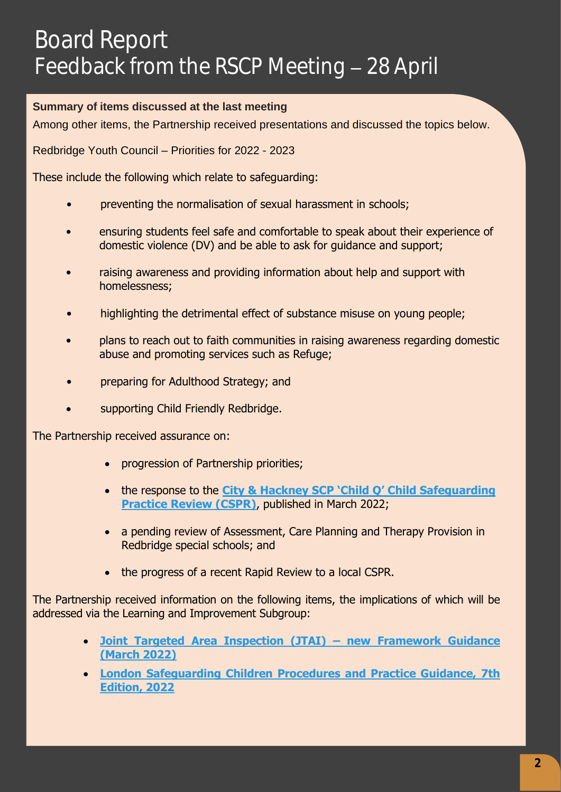# <span id="page-1-1"></span>Board Report Feedback from the RSCP Meeting - 28 April

#### <span id="page-1-0"></span>**Summary of items discussed at the last meeting**

Among other items, the Partnership received presentations and discussed the topics below.

Redbridge Youth Council – Priorities for 2022 - 2023

These include the following which relate to safeguarding:

- preventing the normalisation of sexual harassment in schools;
- ensuring students feel safe and comfortable to speak about their experience of domestic violence (DV) and be able to ask for guidance and support;
- raising awareness and providing information about help and support with homelessness;
- highlighting the detrimental effect of substance misuse on young people;
- plans to reach out to faith communities in raising awareness regarding domestic abuse and promoting services such as Refuge;
- preparing for Adulthood Strategy; and
- supporting Child Friendly Redbridge.

The Partnership received assurance on:

- progression of Partnership priorities;
- the response to the **City & Hackney SCP 'Child Q' [Child Safeguarding](https://chscp.org.uk/wp-content/uploads/2022/03/Child-Q-PUBLISHED-14-March-22.pdf)  [Practice Review \(CSPR\)](https://chscp.org.uk/wp-content/uploads/2022/03/Child-Q-PUBLISHED-14-March-22.pdf)**, published in March 2022;
- a pending review of Assessment, Care Planning and Therapy Provision in Redbridge special schools; and
- the progress of a recent Rapid Review to a local CSPR.

The Partnership received information on the following items, the implications of which will be addressed via the Learning and Improvement Subgroup:

- **[Joint Targeted Area Inspection \(JTAI\)](https://www.gov.uk/government/news/new-frameworks-for-joint-targeted-area-inspections-jtais#:~:text=From%20April%202022%2C%20the%20inspectorates,door) – new Framework Guidance [\(March 2022\)](https://www.gov.uk/government/news/new-frameworks-for-joint-targeted-area-inspections-jtais#:~:text=From%20April%202022%2C%20the%20inspectorates,door)**
- **[London Safeguarding Children Procedures and Practice Guidance, 7th](https://www.londonsafeguardingchildrenprocedures.co.uk/)  [Edition, 2022](https://www.londonsafeguardingchildrenprocedures.co.uk/)**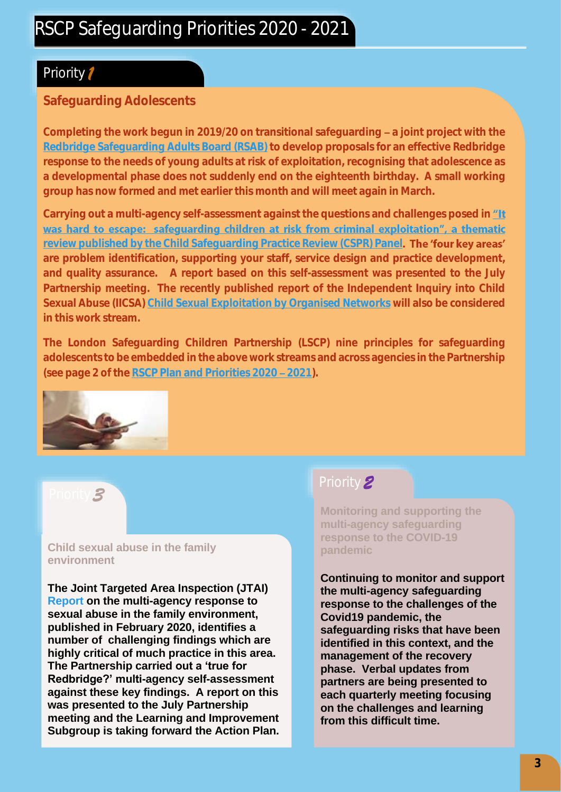## Priority *1*

#### **Safeguarding Adolescents**

Completing the work begun in 2019/20 on transitional safeguarding - a joint project with the **[Redbridge Safeguarding Adults Board \(RSAB\)](https://www.redbridgesab.org.uk/) to develop proposals for an effective Redbridge response to the needs of young adults at risk of exploitation, recognising that adolescence as a developmental phase does not suddenly end on the eighteenth birthday. A small working group has now formed and met earlier this month and will meet again in March.**

Carryingout a multi-agency self-assessment against the questions and challenges posed in *"It* was hard to escape: safeguarding children at risk from criminal exploitation", a thematic **[review published by the Child Safeguarding Practice Review \(CSPR\) Panel](https://assets.publishing.service.gov.uk/government/uploads/system/uploads/attachment_data/file/870035/Safeguarding_children_at_risk_from_criminal_exploitation_review.pdf) are problem identification, supporting your staff, service design and practice development, and quality assurance. A report based on this self-assessment was presented to the July Partnership meeting. The recently published report of the Independent Inquiry into Child Sexual Abuse (IICSA[\) Child Sexual Exploitation by Organised Networks](https://www.iicsa.org.uk/document/child-sexual-exploitation-organised-networks-investigation-report-february-2022) will also be considered in this work stream.**

**The London Safeguarding Children Partnership (LSCP) nine principles for safeguarding adolescents to be embedded in the above work streams and across agencies in the Partnership** (see page 2 of the RSCP Plan and Priorities 2020 - 2021).



#### Priority *3*

#### **Child sexual abuse in the family environment**

**The Joint Targeted Area Inspection (JTAI) [Report](https://www.gov.uk/government/publications/the-multi-agency-response-to-child-sexual-abuse-in-the-family-environment/multi-agency-response-to-child-sexual-abuse-in-the-family-environment-joint-targeted-area-inspections-jtais) on the multi-agency response to sexual abuse in the family environment, published in February 2020, identifies a number of challenging findings which are highly critical of much practice in this area. The Partnership carried out a 'true for Redbridge?' multi-agency self-assessment against these key findings. A report on this was presented to the July Partnership meeting and the Learning and Improvement Subgroup is taking forward the Action Plan.**

# Priority *2*

**Monitoring and supporting the multi-agency safeguarding response to the COVID-19 pandemic**

**Continuing to monitor and support the multi-agency safeguarding response to the challenges of the Covid19 pandemic, the safeguarding risks that have been identified in this context, and the management of the recovery phase. Verbal updates from partners are being presented to each quarterly meeting focusing on the challenges and learning from this difficult time.**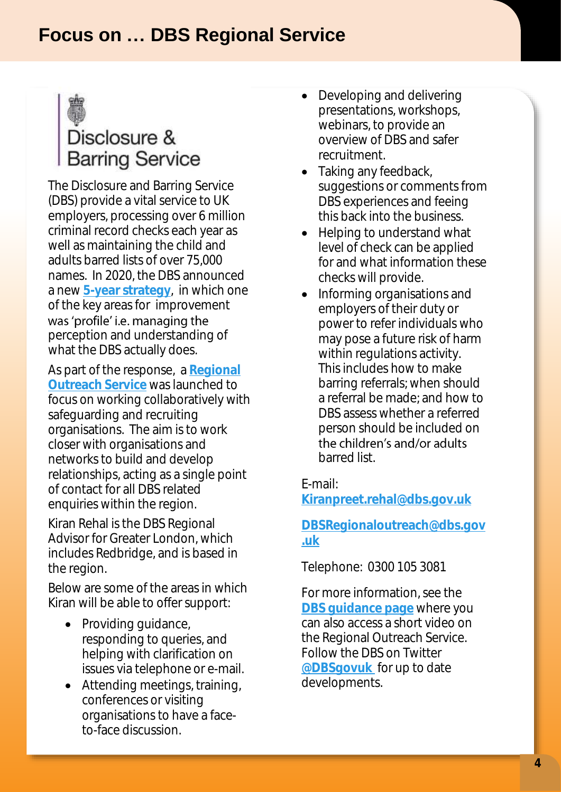

# Disclosure & **Barring Service**

The Disclosure and Barring Service (DBS) provide a vital service to UK employers, processing over 6 million criminal record checks each year as well as maintaining the child and adults barred lists of over 75,000 names. In 2020, the DBS announced a new **[5-year strategy](https://www.gov.uk/government/news/dbs-launches-new-five-year-strategy)**, in which one of the key areas for improvement was 'profile' i.e. managing the perception and understanding of what the DBS actually does.

As part of the response, a **[Regional](https://www.gov.uk/guidance/the-dbs-regional-outreach-service)  [Outreach Service](https://www.gov.uk/guidance/the-dbs-regional-outreach-service)** was launched to focus on working collaboratively with safeguarding and recruiting organisations. The aim is to work closer with organisations and networks to build and develop relationships, acting as a single point of contact for all DBS related enquiries within the region.

Kiran Rehal is the DBS Regional Advisor for Greater London, which includes Redbridge, and is based in the region.

Below are some of the areas in which Kiran will be able to offer support:

- Providing quidance, responding to queries, and helping with clarification on issues via telephone or e-mail.
- Attending meetings, training, conferences or visiting organisations to have a faceto-face discussion.
- Developing and delivering presentations, workshops, webinars, to provide an overview of DBS and safer recruitment.
- Taking any feedback, suggestions or comments from DBS experiences and feeing this back into the business.
- Helping to understand what level of check can be applied for and what information these checks will provide.
- Informing organisations and employers of their duty or power to refer individuals who may pose a future risk of harm within regulations activity. This includes how to make barring referrals; when should a referral be made; and how to DBS assess whether a referred person should be included on the children's and/or adults barred list.

E-mail:

**[Kiranpreet.rehal@dbs.gov.uk](mailto:Kiranpreet.rehal@dbs.gov.uk)**

### **[DBSRegionaloutreach@dbs.gov](mailto:DBSRegionaloutreach@dbs.gov.uk) [.uk](mailto:DBSRegionaloutreach@dbs.gov.uk)**

Telephone: 0300 105 3081

For more information, see the **[DBS guidance page](https://www.gov.uk/guidance/the-dbs-regional-outreach-service)** where you can also access a short video on the Regional Outreach Service. Follow the DBS on Twitter **[@DBSgovuk](https://twitter.com/DBSgovuk)** for up to date developments.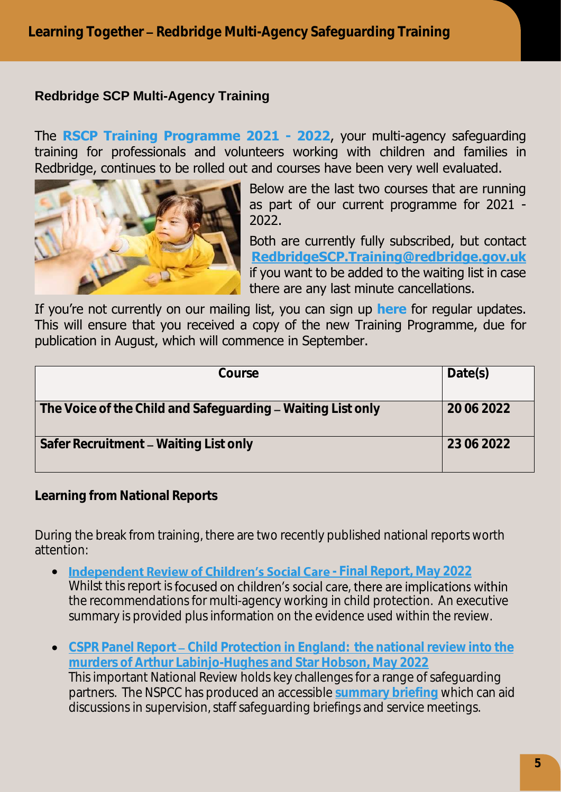### **Redbridge SCP Multi-Agency Training**

The **[RSCP Training Programme 2021 -](https://www.redbridgescp.org.uk/wp-content/uploads/2021/08/RSCP-Training-Programme-2021-22-v10-1.pdf) 2022**, your multi-agency safeguarding training for professionals and volunteers working with children and families in Redbridge, continues to be rolled out and courses have been very well evaluated.



Below are the last two courses that are running as part of our current programme for 2021 - 2022.

Both are currently fully subscribed, but contact **[RedbridgeSCP.Training@redbridge.gov.uk](mailto:RedbridgeSCP.Training@redbridge.gov.uk)** if you want to be added to the waiting list in case there are any last minute cancellations.

If you're not currently on our mailing list, you can sign up **[here](https://www.redbridgescp.org.uk/wp-content/uploads/2020/07/Notes-for-Training-Attendees-and-Managers.pdf)** for regular updates. This will ensure that you received a copy of the new Training Programme, due for publication in August, which will commence in September.

| Course                                                      | Date(s)    |
|-------------------------------------------------------------|------------|
| The Voice of the Child and Safeguarding - Waiting List only | 20062022   |
| Safer Recruitment - Waiting List only                       | 23 06 2022 |

**Learning from National Reports**

During the break from training, there are two recently published national reports worth attention:

- **Independent Review of Children's Social Care** [Final Report, May 2022](https://childrenssocialcare.independent-review.uk/) Whilst this report is focused on children's social care, there are implications within the recommendations for multi-agency working in child protection. An executive summary is provided plus information on the evidence used within the review.
- **CSPR Panel Report Child Protection in England: the national review into the [murders of Arthur Labinjo-Hughes and Star Hobson, May 2022](https://assets.publishing.service.gov.uk/government/uploads/system/uploads/attachment_data/file/1078488/ALH_SH_National_Review_26-5-22.pdf)** This important National Review holds key challenges for a range of safeguarding partners. The NSPCC has produced an accessible **[summary briefing](https://learning.nspcc.org.uk/research-resources/2022/national-review-murders-arthur-labinjo-hughes-star-hobson-caspar-briefing)** which can aid discussions in supervision, staff safeguarding briefings and service meetings.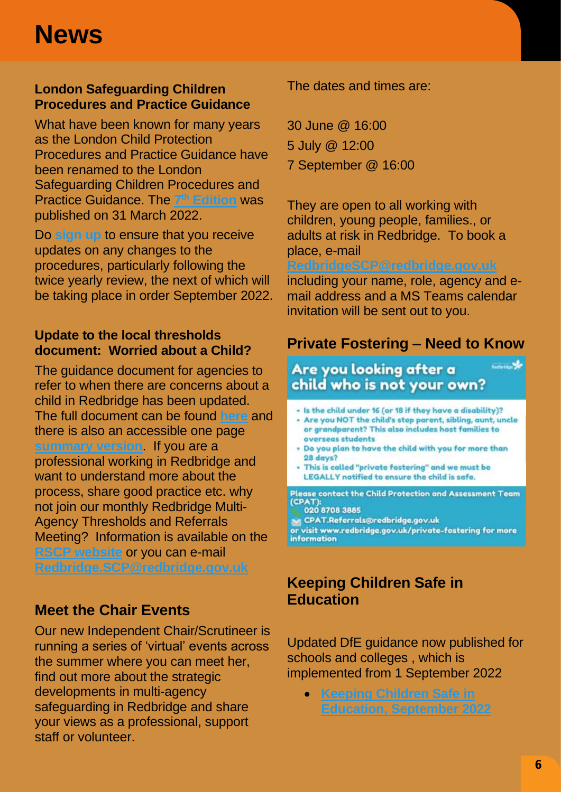#### **London Safeguarding Children Procedures and Practice Guidance**

What have been known for many years as the London Child Protection Procedures and Practice Guidance have been renamed to the London Safeguarding Children Procedures and Practice Guidance. The **7 th [Edition](https://www.londonsafeguardingchildrenprocedures.co.uk/)** was published on 31 March 2022.

Do **[sign up](https://www.londoncp.co.uk/register_updates.html)** to ensure that you receive updates on any changes to the procedures, particularly following the twice yearly review, the next of which will be taking place in order September 2022.

#### **Update to the local thresholds document: Worried about a Child?**

The guidance document for agencies to refer to when there are concerns about a child in Redbridge has been updated. The full document can be found **[here](https://www.redbridgescp.org.uk/wp-content/uploads/2016/04/Redbridge-SCP-Multi-Agency-Thresholds-Document-March-2022.pdf)** and there is also an accessible one page **[summary version](https://www.redbridgescp.org.uk/wp-content/uploads/2016/04/RSCP-MA-Threshold-Summary-Document-March-2022.pdf)**. If you are a professional working in Redbridge and want to understand more about the process, share good practice etc. why not join our monthly Redbridge Multi-Agency Thresholds and Referrals Meeting? Information is available on the **[RSCP website](https://www.redbridgescp.org.uk/professionals/worried-about-a-child/)** or you can e-mail **[Redbridge.SCP@redbridge.gov.uk](mailto:Redbridge.SCP@redbridge.gov.uk)**

## **Meet the Chair Events**

Our new Independent Chair/Scrutineer is running a series of 'virtual' events across the summer where you can meet her, find out more about the strategic developments in multi-agency safeguarding in Redbridge and share your views as a professional, support staff or volunteer.

The dates and times are:

30 June @ 16:00 5 July @ 12:00 7 September @ 16:00

They are open to all working with children, young people, families., or adults at risk in Redbridge. To book a place, e-mail

#### **[RedbridgeSCP@redbridge.gov.uk](mailto:RedbridgeSCP@redbridge.gov.uk)**

including your name, role, agency and email address and a MS Teams calendar invitation will be sent out to you.

## **Private Fostering – Need to Know**

*<u>Constant</u>* 

### Are you looking after a child who is not your own?

- Is the child under 16 (or 18 if they have a disability)?
- Are you NOT the child's step parent, sibling, aunt, uncle or grandparent? This also includes host families to overseas students
- . Do you plan to have the child with you for more than 28 days?
- This is called "private fostering" and we must be LEGALLY notified to ensure the child is safe.

Please contact the Child Protection and Assessment Team (CPAT): 020 8708 3885

M CPAT.Referrals@redbridge.gov.uk

or visit www.redbridge.gov.uk/private-fostering for more information

## **Keeping Children Safe in Education**

Updated DfE guidance now published for schools and colleges , which is implemented from 1 September 2022

• **[Keeping Children Safe in](https://assets.publishing.service.gov.uk/government/uploads/system/uploads/attachment_data/file/1080047/KCSIE_2022_revised.pdf)  [Education, September 2022](https://assets.publishing.service.gov.uk/government/uploads/system/uploads/attachment_data/file/1080047/KCSIE_2022_revised.pdf)**